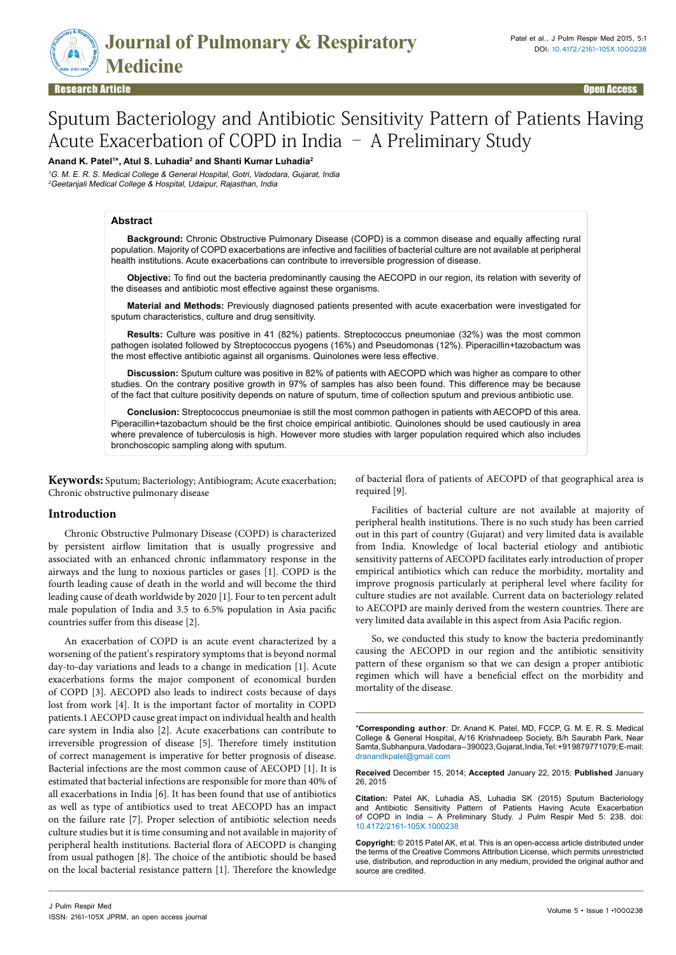

# Sputum Bacteriology and Antibiotic Sensitivity Pattern of Patients Having Acute Exacerbation of COPD in India – A Preliminary Study

**Anand K. Patel1 \*, Atul S. Luhadia2 and Shanti Kumar Luhadia2**

<sup>1</sup>G. M. E. R. S. Medical College & General Hospital, Gotri, Vadodara, Gujarat, India <sup>2</sup>Geetanjali Medical College & Hospital, Udaipur, Rajasthan, India

# **Abstract**

**Background:** Chronic Obstructive Pulmonary Disease (COPD) is a common disease and equally affecting rural population. Majority of COPD exacerbations are infective and facilities of bacterial culture are not available at peripheral health institutions. Acute exacerbations can contribute to irreversible progression of disease.

**Objective:** To find out the bacteria predominantly causing the AECOPD in our region, its relation with severity of the diseases and antibiotic most effective against these organisms.

**Material and Methods:** Previously diagnosed patients presented with acute exacerbation were investigated for sputum characteristics, culture and drug sensitivity.

**Results:** Culture was positive in 41 (82%) patients. Streptococcus pneumoniae (32%) was the most common pathogen isolated followed by Streptococcus pyogens (16%) and Pseudomonas (12%). Piperacillin+tazobactum was the most effective antibiotic against all organisms. Quinolones were less effective.

**Discussion:** Sputum culture was positive in 82% of patients with AECOPD which was higher as compare to other studies. On the contrary positive growth in 97% of samples has also been found. This difference may be because of the fact that culture positivity depends on nature of sputum, time of collection sputum and previous antibiotic use.

**Conclusion:** Streptococcus pneumoniae is still the most common pathogen in patients with AECOPD of this area. Piperacillin+tazobactum should be the first choice empirical antibiotic. Quinolones should be used cautiously in area where prevalence of tuberculosis is high. However more studies with larger population required which also includes bronchoscopic sampling along with sputum.

**Keywords:** Sputum; Bacteriology; Antibiogram; Acute exacerbation; Chronic obstructive pulmonary disease

# **Introduction**

Chronic Obstructive Pulmonary Disease (COPD) is characterized by persistent airflow limitation that is usually progressive and associated with an enhanced chronic inflammatory response in the airways and the lung to noxious particles or gases [1]. COPD is the fourth leading cause of death in the world and will become the third leading cause of death worldwide by 2020 [1]. Four to ten percent adult male population of India and 3.5 to 6.5% population in Asia pacific countries suffer from this disease [2].

An exacerbation of COPD is an acute event characterized by a worsening of the patient's respiratory symptoms that is beyond normal day-to-day variations and leads to a change in medication [1]. Acute exacerbations forms the major component of economical burden of COPD [3]. AECOPD also leads to indirect costs because of days lost from work [4]. It is the important factor of mortality in COPD patients.1 AECOPD cause great impact on individual health and health care system in India also [2]. Acute exacerbations can contribute to irreversible progression of disease [5]. Therefore timely institution of correct management is imperative for better prognosis of disease. Bacterial infections are the most common cause of AECOPD [1]. It is estimated that bacterial infections are responsible for more than 40% of all exacerbations in India [6]. It has been found that use of antibiotics as well as type of antibiotics used to treat AECOPD has an impact on the failure rate [7]. Proper selection of antibiotic selection needs culture studies but it is time consuming and not available in majority of peripheral health institutions. Bacterial flora of AECOPD is changing from usual pathogen [8]. The choice of the antibiotic should be based on the local bacterial resistance pattern [1]. Therefore the knowledge

of bacterial flora of patients of AECOPD of that geographical area is required [9].

Facilities of bacterial culture are not available at majority of peripheral health institutions. There is no such study has been carried out in this part of country (Gujarat) and very limited data is available from India. Knowledge of local bacterial etiology and antibiotic sensitivity patterns of AECOPD facilitates early introduction of proper empirical antibiotics which can reduce the morbidity, mortality and improve prognosis particularly at peripheral level where facility for culture studies are not available. Current data on bacteriology related to AECOPD are mainly derived from the western countries. There are very limited data available in this aspect from Asia Pacific region.

So, we conducted this study to know the bacteria predominantly causing the AECOPD in our region and the antibiotic sensitivity pattern of these organism so that we can design a proper antibiotic regimen which will have a beneficial effect on the morbidity and mortality of the disease.

\***Corresponding author**: Dr. Anand K. Patel, MD, FCCP, G. M. E. R. S. Medical College & General Hospital, A/16 Krishnadeep Society, B/h Saurabh Park, Near Samta, Subhanpura, Vadodara – 390023, Gujarat, India, Tel: +91 9879771079; E-mail: dranandkpatel@gmail.com

**Received** December 15, 2014; **Accepted** January 22, 2015; **Published** January 26, 2015

**Citation:** Patel AK, Luhadia AS, Luhadia SK (2015) Sputum Bacteriology and Antibiotic Sensitivity Pattern of Patients Having Acute Exacerbation of COPD in India – A Preliminary Study. J Pulm Respir Med 5: 238. doi: 10.4172/2161-105X.1000238

**Copyright:** © 2015 Patel AK, et al. This is an open-access article distributed under the terms of the Creative Commons Attribution License, which permits unrestricted use, distribution, and reproduction in any medium, provided the original author and source are credited.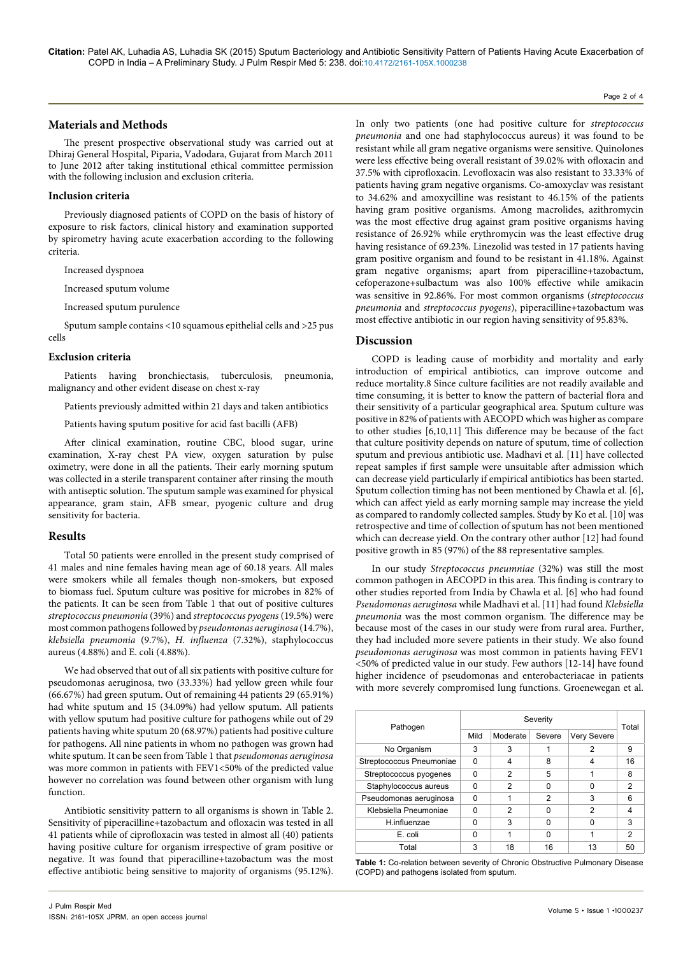# **Materials and Methods**

The present prospective observational study was carried out at Dhiraj General Hospital, Piparia, Vadodara, Gujarat from March 2011 to June 2012 after taking institutional ethical committee permission with the following inclusion and exclusion criteria.

#### **Inclusion criteria**

Previously diagnosed patients of COPD on the basis of history of exposure to risk factors, clinical history and examination supported by spirometry having acute exacerbation according to the following criteria.

Increased dyspnoea

Increased sputum volume

Increased sputum purulence

Sputum sample contains <10 squamous epithelial cells and >25 pus cells

#### **Exclusion criteria**

Patients having bronchiectasis, tuberculosis, pneumonia, malignancy and other evident disease on chest x-ray

Patients previously admitted within 21 days and taken antibiotics

Patients having sputum positive for acid fast bacilli (AFB)

After clinical examination, routine CBC, blood sugar, urine examination, X-ray chest PA view, oxygen saturation by pulse oximetry, were done in all the patients. Their early morning sputum was collected in a sterile transparent container after rinsing the mouth with antiseptic solution. The sputum sample was examined for physical appearance, gram stain, AFB smear, pyogenic culture and drug sensitivity for bacteria.

#### **Results**

Total 50 patients were enrolled in the present study comprised of 41 males and nine females having mean age of 60.18 years. All males were smokers while all females though non-smokers, but exposed to biomass fuel. Sputum culture was positive for microbes in 82% of the patients. It can be seen from Table 1 that out of positive cultures *streptococcus pneumonia* (39%) and *streptococcus pyogens* (19.5%) were most common pathogens followed by *pseudomonas aeruginosa* (14.7%), *klebsiella pneumonia* (9.7%), *H. influenza* (7.32%), staphylococcus aureus (4.88%) and E. coli (4.88%).

We had observed that out of all six patients with positive culture for pseudomonas aeruginosa, two (33.33%) had yellow green while four (66.67%) had green sputum. Out of remaining 44 patients 29 (65.91%) had white sputum and 15 (34.09%) had yellow sputum. All patients with yellow sputum had positive culture for pathogens while out of 29 patients having white sputum 20 (68.97%) patients had positive culture for pathogens. All nine patients in whom no pathogen was grown had white sputum. It can be seen from Table 1 that *pseudomonas aeruginosa*  was more common in patients with FEV1<50% of the predicted value however no correlation was found between other organism with lung function.

Antibiotic sensitivity pattern to all organisms is shown in Table 2. Sensitivity of piperacilline+tazobactum and ofloxacin was tested in all 41 patients while of ciprofloxacin was tested in almost all (40) patients having positive culture for organism irrespective of gram positive or negative. It was found that piperacilline+tazobactum was the most effective antibiotic being sensitive to majority of organisms (95.12%).

In only two patients (one had positive culture for *streptococcus pneumonia* and one had staphylococcus aureus) it was found to be resistant while all gram negative organisms were sensitive. Quinolones were less effective being overall resistant of 39.02% with ofloxacin and 37.5% with ciprofloxacin. Levofloxacin was also resistant to 33.33% of patients having gram negative organisms. Co-amoxyclav was resistant to 34.62% and amoxycilline was resistant to 46.15% of the patients having gram positive organisms. Among macrolides, azithromycin was the most effective drug against gram positive organisms having resistance of 26.92% while erythromycin was the least effective drug having resistance of 69.23%. Linezolid was tested in 17 patients having gram positive organism and found to be resistant in 41.18%. Against gram negative organisms; apart from piperacilline+tazobactum, cefoperazone+sulbactum was also 100% effective while amikacin was sensitive in 92.86%. For most common organisms (*streptococcus pneumonia* and *streptococcus pyogens*), piperacilline+tazobactum was most effective antibiotic in our region having sensitivity of 95.83%.

# **Discussion**

COPD is leading cause of morbidity and mortality and early introduction of empirical antibiotics, can improve outcome and reduce mortality.8 Since culture facilities are not readily available and time consuming, it is better to know the pattern of bacterial flora and their sensitivity of a particular geographical area. Sputum culture was positive in 82% of patients with AECOPD which was higher as compare to other studies [6,10,11] This difference may be because of the fact that culture positivity depends on nature of sputum, time of collection sputum and previous antibiotic use. Madhavi et al. [11] have collected repeat samples if first sample were unsuitable after admission which can decrease yield particularly if empirical antibiotics has been started. Sputum collection timing has not been mentioned by Chawla et al. [6], which can affect yield as early morning sample may increase the yield as compared to randomly collected samples. Study by Ko et al. [10] was retrospective and time of collection of sputum has not been mentioned which can decrease yield. On the contrary other author [12] had found positive growth in 85 (97%) of the 88 representative samples.

In our study *Streptococcus pneumniae* (32%) was still the most common pathogen in AECOPD in this area. This finding is contrary to other studies reported from India by Chawla et al. [6] who had found *Pseudomonas aeruginosa* while Madhavi et al. [11] had found *Klebsiella pneumonia* was the most common organism. The difference may be because most of the cases in our study were from rural area. Further, they had included more severe patients in their study. We also found *pseudomonas aeruginosa* was most common in patients having FEV1 <50% of predicted value in our study. Few authors [12-14] have found higher incidence of pseudomonas and enterobacteriacae in patients with more severely compromised lung functions. Groenewegan et al.

| Pathogen                 | Severity |          |        |             |       |  |  |  |  |  |  |
|--------------------------|----------|----------|--------|-------------|-------|--|--|--|--|--|--|
|                          | Mild     | Moderate | Severe | Very Severe | Total |  |  |  |  |  |  |
| No Organism              | 3        | 3        |        | 2           | 9     |  |  |  |  |  |  |
| Streptococcus Pneumoniae | 0        | 4        | 8      | 4           | 16    |  |  |  |  |  |  |
| Streptococcus pyogenes   |          | 2        | 5      |             | 8     |  |  |  |  |  |  |
| Staphylococcus aureus    |          | 2        | n      |             | 2     |  |  |  |  |  |  |
| Pseudomonas aeruginosa   | n        |          | 2      | 3           | 6     |  |  |  |  |  |  |
| Klebsiella Pneumoniae    |          | 2        |        | 2           |       |  |  |  |  |  |  |
| H.influenzae             |          | 3        |        |             | 3     |  |  |  |  |  |  |
| E. coli                  |          |          | n      |             | 2     |  |  |  |  |  |  |
| Total                    | 3        | 18       | 16     | 13          | 50    |  |  |  |  |  |  |

**Table 1:** Co-relation between severity of Chronic Obstructive Pulmonary Disease (COPD) and pathogens isolated from sputum.

#### Page 2 of 4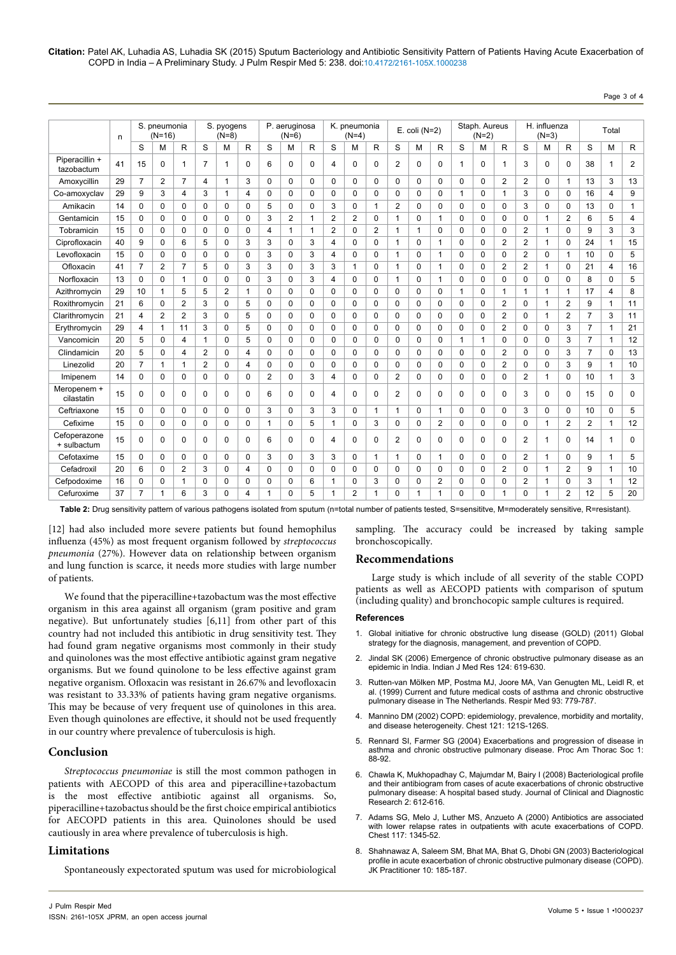**Citation:** Patel AK, Luhadia AS, Luhadia SK (2015) Sputum Bacteriology and Antibiotic Sensitivity Pattern of Patients Having Acute Exacerbation of COPD in India – A Preliminary Study. J Pulm Respir Med 5: 238. doi:10.4172/2161-105X.1000238

|                              |    | S. pneumonia<br>$(N=16)$ |                |                | S. pyogens<br>P. aeruginosa |              |              |                | K. pneumonia   |              |                |                |                |                   | Staph, Aureus |                |              | H. influenza   |                |                |              |                |                |              |              |
|------------------------------|----|--------------------------|----------------|----------------|-----------------------------|--------------|--------------|----------------|----------------|--------------|----------------|----------------|----------------|-------------------|---------------|----------------|--------------|----------------|----------------|----------------|--------------|----------------|----------------|--------------|--------------|
|                              | n  |                          |                |                |                             | $(N=8)$      |              | $(N=6)$        |                |              | $(N=4)$        |                |                | $E.$ coli $(N=2)$ |               |                | $(N=2)$      |                |                | $(N=3)$        |              |                | Total          |              |              |
|                              |    | S                        | M              | R              | S                           | M            | R            | S              | M              | R            | S              | M              | R              | S                 | M             | R              | S            | М              | R              | S              | M            | R              | S              | M            | R            |
| Piperacillin +<br>tazobactum | 41 | 15                       | $\Omega$       | $\mathbf{1}$   | 7                           | $\mathbf{1}$ | $\Omega$     | 6              | $\Omega$       | $\Omega$     | 4              | $\Omega$       | $\Omega$       | 2                 | $\Omega$      | 0              | $\mathbf{1}$ | $\Omega$       | 1              | 3              | $\Omega$     | $\Omega$       | 38             | 1            | 2            |
| Amoxycillin                  | 29 | $\overline{7}$           | 2              | $\overline{7}$ | 4                           | $\mathbf 1$  | 3            | 0              | $\Omega$       | $\Omega$     | 0              | $\Omega$       | $\Omega$       | 0                 | $\Omega$      | 0              | 0            | $\Omega$       | 2              | 2              | $\Omega$     | 1              | 13             | 3            | 13           |
| Co-amoxyclav                 | 29 | 9                        | 3              | 4              | 3                           | $\mathbf{1}$ | 4            | 0              | $\Omega$       | $\mathbf 0$  | 0              | $\Omega$       | $\Omega$       | 0                 | $\Omega$      | 0              | $\mathbf{1}$ | $\mathbf 0$    | 1              | 3              | 0            | $\Omega$       | 16             | 4            | 9            |
| Amikacin                     | 14 | $\Omega$                 | $\Omega$       | $\Omega$       | $\Omega$                    | $\Omega$     | $\Omega$     | 5              | $\Omega$       | $\Omega$     | 3              | $\Omega$       | $\mathbf{1}$   | 2                 | $\Omega$      | 0              | $\Omega$     | $\Omega$       | $\Omega$       | 3              | $\Omega$     | $\Omega$       | 13             | 0            | $\mathbf{1}$ |
| Gentamicin                   | 15 | $\Omega$                 | $\Omega$       | $\Omega$       | $\Omega$                    | $\Omega$     | 0            | 3              | $\overline{2}$ | $\mathbf{1}$ | $\overline{2}$ | $\overline{2}$ | $\Omega$       | 1                 | $\Omega$      | 1              | $\mathbf 0$  | $\Omega$       | $\Omega$       | 0              | $\mathbf{1}$ | $\overline{2}$ | 6              | 5            | 4            |
| Tobramicin                   | 15 | $\mathbf 0$              | 0              | 0              | 0                           | 0            | $\Omega$     | 4              | 1              | $\mathbf{1}$ | 2              | $\Omega$       | $\overline{2}$ | $\mathbf{1}$      | 1             | 0              | $\mathbf 0$  | $\mathbf 0$    | 0              | 2              | 1            | $\Omega$       | 9              | 3            | 3            |
| Ciprofloxacin                | 40 | 9                        | 0              | 6              | 5                           | $\mathbf 0$  | 3            | 3              | 0              | 3            | 4              | $\Omega$       | $\Omega$       | $\mathbf{1}$      | $\mathbf 0$   | 1              | $\mathbf 0$  | 0              | $\overline{2}$ | $\overline{2}$ | $\mathbf{1}$ | $\Omega$       | 24             | 1            | 15           |
| Levofloxacin                 | 15 | $\Omega$                 | $\Omega$       | $\Omega$       | $\Omega$                    | $\Omega$     | 0            | 3              | $\Omega$       | 3            | 4              | $\Omega$       | $\Omega$       | $\mathbf 1$       | $\Omega$      | 1              | $\Omega$     | $\Omega$       | $\Omega$       | $\overline{2}$ | $\Omega$     | $\mathbf{1}$   | 10             | $\Omega$     | 5            |
| Ofloxacin                    | 41 | $\overline{7}$           | $\overline{2}$ | $\overline{7}$ | 5                           | $\Omega$     | 3            | 3              | $\Omega$       | 3            | 3              | 1              | $\Omega$       | 1                 | $\Omega$      | 1              | $\Omega$     | $\Omega$       | $\overline{2}$ | 2              | $\mathbf{1}$ | $\Omega$       | 21             | 4            | 16           |
| Norfloxacin                  | 13 | $\mathbf 0$              | 0              | $\mathbf{1}$   | $\mathbf 0$                 | $\Omega$     | $\Omega$     | 3              | $\Omega$       | 3            | 4              | $\Omega$       | $\Omega$       | 1                 | $\mathbf 0$   | 1              | 0            | 0              | 0              | 0              | $\mathbf 0$  | $\Omega$       | 8              | 0            | 5            |
| Azithromycin                 | 29 | 10                       | $\mathbf{1}$   | 5              | 5                           | 2            | $\mathbf{1}$ | 0              | $\Omega$       | $\Omega$     | 0              | $\Omega$       | $\Omega$       | 0                 | $\mathbf 0$   | $\Omega$       | 1            | $\mathbf 0$    | $\mathbf{1}$   | 1              | $\mathbf{1}$ | 1              | 17             | 4            | 8            |
| Roxithromycin                | 21 | 6                        | $\Omega$       | $\overline{2}$ | 3                           | $\Omega$     | 5            | $\Omega$       | $\Omega$       | $\Omega$     | $\Omega$       | $\Omega$       | $\Omega$       | $\Omega$          | $\Omega$      | $\Omega$       | $\Omega$     | $\Omega$       | $\overline{2}$ | $\Omega$       | $\mathbf{1}$ | $\overline{2}$ | 9              | 1            | 11           |
| Clarithromycin               | 21 | $\overline{4}$           | $\overline{2}$ | $\overline{2}$ | 3                           | $\Omega$     | 5            | 0              | $\Omega$       | $\Omega$     | $\mathbf 0$    | $\Omega$       | $\Omega$       | 0                 | $\Omega$      | $\Omega$       | 0            | 0              | $\overline{2}$ | 0              | $\mathbf 1$  | $\overline{2}$ | $\overline{7}$ | 3            | 11           |
| Erythromycin                 | 29 | $\overline{4}$           | $\mathbf{1}$   | 11             | 3                           | $\Omega$     | 5            | $\Omega$       | $\Omega$       | $\Omega$     | $\Omega$       | $\Omega$       | $\Omega$       | $\Omega$          | $\Omega$      | $\Omega$       | $\Omega$     | $\Omega$       | $\overline{2}$ | $\Omega$       | $\Omega$     | 3              | $\overline{7}$ | 1            | 21           |
| Vancomicin                   | 20 | 5                        | 0              | 4              | 1                           | 0            | 5            | 0              | 0              | $\mathbf 0$  | 0              | 0              | $\Omega$       | 0                 | 0             | $\Omega$       | 1            | $\overline{1}$ | 0              | 0              | $\Omega$     | 3              | $\overline{7}$ | 1            | 12           |
| Clindamicin                  | 20 | 5                        | $\Omega$       | 4              | $\overline{2}$              | $\Omega$     | 4            | 0              | $\Omega$       | $\Omega$     | 0              | $\Omega$       | $\Omega$       | 0                 | $\Omega$      | $\Omega$       | 0            | $\Omega$       | $\overline{2}$ | 0              | $\Omega$     | 3              | $\overline{7}$ | $\Omega$     | 13           |
| Linezolid                    | 20 | $\overline{7}$           | $\mathbf{1}$   | $\mathbf{1}$   | $\overline{2}$              | $\Omega$     | 4            | 0              | $\Omega$       | $\Omega$     | $\Omega$       | $\Omega$       | $\Omega$       | 0                 | $\Omega$      | $\Omega$       | $\Omega$     | $\Omega$       | 2              | 0              | $\Omega$     | 3              | 9              | 1            | 10           |
| Imipenem                     | 14 | $\mathbf 0$              | $\Omega$       | $\mathbf 0$    | $\Omega$                    | $\Omega$     | $\Omega$     | $\overline{2}$ | $\Omega$       | 3            | 4              | $\Omega$       | $\Omega$       | $\overline{2}$    | $\Omega$      | $\Omega$       | $\mathbf 0$  | $\mathbf{0}$   | $\Omega$       | 2              | 1            | $\Omega$       | 10             | 1            | 3            |
| Meropenem +<br>cilastatin    | 15 | $\Omega$                 | $\Omega$       | 0              | $\Omega$                    | $\Omega$     | $\Omega$     | 6              | $\Omega$       | $\Omega$     | 4              | $\Omega$       | $\Omega$       | 2                 | $\Omega$      | $\Omega$       | $\Omega$     | $\Omega$       | $\Omega$       | 3              | $\Omega$     | $\Omega$       | 15             | 0            | $\mathbf 0$  |
| Ceftriaxone                  | 15 | $\mathbf 0$              | 0              | 0              | $\Omega$                    | $\Omega$     | 0            | 3              | $\Omega$       | 3            | 3              | $\Omega$       | $\mathbf{1}$   | $\mathbf 1$       | $\Omega$      | 1              | 0            | $\Omega$       | $\Omega$       | 3              | $\Omega$     | $\Omega$       | 10             | 0            | 5            |
| Cefixime                     | 15 | $\mathbf 0$              | 0              | $\mathbf{0}$   | $\mathbf 0$                 | 0            | $\Omega$     | 1              | $\Omega$       | 5            | 1              | $\Omega$       | 3              | 0                 | $\Omega$      | $\overline{2}$ | 0            | $\mathbf 0$    | 0              | 0              | $\mathbf{1}$ | $\overline{2}$ | $\overline{2}$ | 1            | 12           |
| Cefoperazone<br>+ sulbactum  | 15 | $\Omega$                 | $\Omega$       | $\Omega$       | $\Omega$                    | $\Omega$     | $\Omega$     | 6              | $\Omega$       | $\Omega$     | 4              | $\Omega$       | $\Omega$       | 2                 | $\Omega$      | $\Omega$       | $\Omega$     | $\Omega$       | $\Omega$       | $\overline{2}$ | $\mathbf{1}$ | $\Omega$       | 14             | 1            | 0            |
| Cefotaxime                   | 15 | $\mathbf 0$              | 0              | 0              | 0                           | 0            | 0            | 3              | 0              | 3            | 3              | 0              | 1              | 1                 | 0             | 1              | 0            | 0              | 0              | 2              | 1            | 0              | 9              | 1            | 5            |
| Cefadroxil                   | 20 | 6                        | 0              | $\overline{2}$ | 3                           | $\Omega$     | 4            | 0              | $\Omega$       | $\Omega$     | 0              | $\Omega$       | $\Omega$       | $\Omega$          | $\Omega$      | 0              | 0            | $\Omega$       | $\overline{2}$ | 0              | 1            | $\overline{2}$ | 9              | 1            | 10           |
| Cefpodoxime                  | 16 | $\mathbf 0$              | 0              | $\mathbf{1}$   | 0                           | 0            | $\Omega$     | 0              | 0              | 6            | 1              | $\mathbf 0$    | 3              | 0                 | 0             | $\overline{2}$ | 0            | $\mathbf 0$    | 0              | 2              | $\mathbf{1}$ | 0              | 3              | $\mathbf{1}$ | 12           |
| Cefuroxime                   | 37 | $\overline{7}$           | 1              | 6              | 3                           | $\Omega$     | 4            | 1              | $\Omega$       | 5            | 1              | $\overline{2}$ | 1              | $\Omega$          | 1             | 1              | 0            | 0              | 1              | 0              | 1            | $\overline{2}$ | 12             | 5            | 20           |

Table 2: Drug sensitivity pattern of various pathogens isolated from sputum (n=total number of patients tested, S=sensititve, M=moderately sensitive, R=resistant).

[12] had also included more severe patients but found hemophilus influenza (45%) as most frequent organism followed by *streptococcus pneumonia* (27%). However data on relationship between organism and lung function is scarce, it needs more studies with large number of patients.

We found that the piperacilline+tazobactum was the most effective organism in this area against all organism (gram positive and gram negative). But unfortunately studies [6,11] from other part of this country had not included this antibiotic in drug sensitivity test. They had found gram negative organisms most commonly in their study and quinolones was the most effective antibiotic against gram negative organisms. But we found quinolone to be less effective against gram negative organism. Ofloxacin was resistant in 26.67% and levofloxacin was resistant to 33.33% of patients having gram negative organisms. This may be because of very frequent use of quinolones in this area. Even though quinolones are effective, it should not be used frequently in our country where prevalence of tuberculosis is high.

# **Conclusion**

*Streptococcus pneumoniae* is still the most common pathogen in patients with AECOPD of this area and piperacilline+tazobactum is the most effective antibiotic against all organisms. So, piperacilline+tazobactus should be the first choice empirical antibiotics for AECOPD patients in this area. Quinolones should be used cautiously in area where prevalence of tuberculosis is high.

# **Limitations**

Spontaneously expectorated sputum was used for microbiological

sampling. The accuracy could be increased by taking sample bronchoscopically.

#### **Recommendations**

Large study is which include of all severity of the stable COPD patients as well as AECOPD patients with comparison of sputum (including quality) and bronchocopic sample cultures is required.

#### **References**

- 1. Global initiative for chronic obstructive lung disease (GOLD) (2011) Global strategy for the diagnosis, management, and prevention of COPD.
- 2. [Jindal SK \(2006\) Emergence of chronic obstructive pulmonary disease as an](http://www.ncbi.nlm.nih.gov/pubmed/17287549)  [epidemic in India. Indian J Med Res 124: 619-630.](http://www.ncbi.nlm.nih.gov/pubmed/17287549)
- 3. [Rutten-van Mölken MP, Postma MJ, Joore MA, Van Genugten ML, Leidl R, et](http://www.ncbi.nlm.nih.gov/pubmed/10603626)  [al. \(1999\) Current and future medical costs of asthma and chronic obstructive](http://www.ncbi.nlm.nih.gov/pubmed/10603626)  [pulmonary disease in The Netherlands. Respir Med 93: 779-787.](http://www.ncbi.nlm.nih.gov/pubmed/10603626)
- 4. [Mannino DM \(2002\) COPD: epidemiology, prevalence, morbidity and mortality,](http://www.ncbi.nlm.nih.gov/pubmed/12010839)  [and disease heterogeneity. Chest 121: 121S-126S.](http://www.ncbi.nlm.nih.gov/pubmed/12010839)
- 5. [Rennard SI, Farmer SG \(2004\) Exacerbations and progression of disease in](http://www.ncbi.nlm.nih.gov/pubmed/16113418)  [asthma and chronic obstructive pulmonary disease. Proc Am Thorac Soc 1:](http://www.ncbi.nlm.nih.gov/pubmed/16113418)  [88-92.](http://www.ncbi.nlm.nih.gov/pubmed/16113418)
- 6. Chawla K, Mukhopadhay C, Majumdar M, Bairy I (2008) Bacteriological profile and their antibiogram from cases of acute exacerbations of chronic obstructive pulmonary disease: A hospital based study. Journal of Clinical and Diagnostic Research 2: 612-616.
- 7. Adams SG, Melo J, Luther MS, Anzueto A (2000) Antibiotics are associated with lower relapse rates in outpatients with acute exacerbations of COPD. Chest 117: 1345-52.
- 8. Shahnawaz A, Saleem SM, Bhat MA, Bhat G, Dhobi GN (2003) Bacteriological profile in acute exacerbation of chronic obstructive pulmonary disease (COPD). JK Practitioner 10: 185-187.